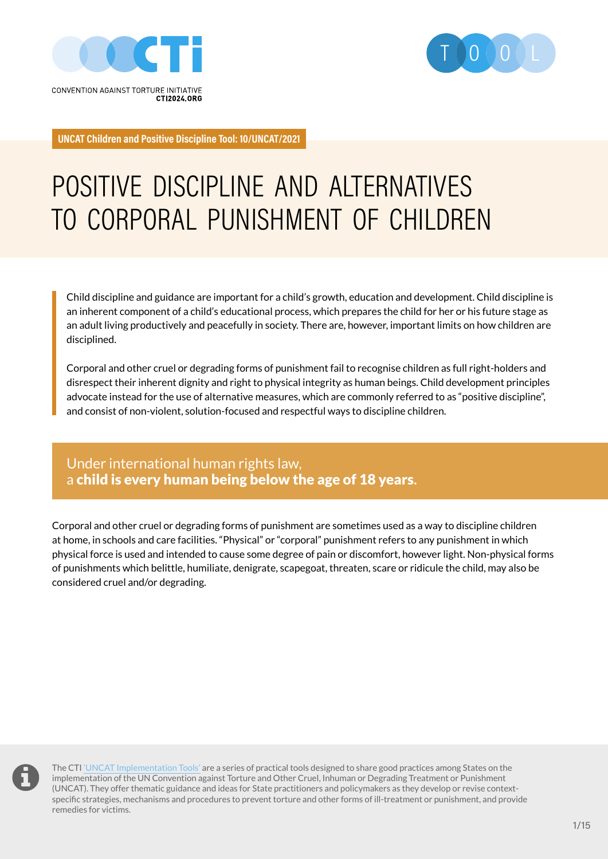



**UNCAT Children and Positive Discipline Tool: 10/UNCAT/2021**

# POSITIVE DISCIPLINE AND ALTERNATIVES TO CORPORAL PUNISHMENT OF CHILDREN

Child discipline and guidance are important for a child's growth, education and development. Child discipline is an inherent component of a child's educational process, which prepares the child for her or his future stage as an adult living productively and peacefully in society. There are, however, important limits on how children are disciplined.

Corporal and other cruel or degrading forms of punishment fail to recognise children as full right-holders and disrespect their inherent dignity and right to physical integrity as human beings. Child development principles advocate instead for the use of alternative measures, which are commonly referred to as "positive discipline", and consist of non-violent, solution-focused and respectful ways to discipline children.

### Under international human rights law, a child is every human being below the age of 18 years**.**

Corporal and other cruel or degrading forms of punishment are sometimes used as a way to discipline children at home, in schools and care facilities. "Physical" or "corporal" punishment refers to any punishment in which physical force is used and intended to cause some degree of pain or discomfort, however light. Non-physical forms of punishments which belittle, humiliate, denigrate, scapegoat, threaten, scare or ridicule the child, may also be considered cruel and/or degrading.



The CTI ['UNCAT Implementation Tools'](https://www.cti2024.org/en/cti-uncat-implementation-tools/) are a series of practical tools designed to share good practices among States on the implementation of the UN Convention against Torture and Other Cruel, Inhuman or Degrading Treatment or Punishment (UNCAT). They offer thematic guidance and ideas for State practitioners and policymakers as they develop or revise contextspecific strategies, mechanisms and procedures to prevent torture and other forms of ill-treatment or punishment, and provide remedies for victims.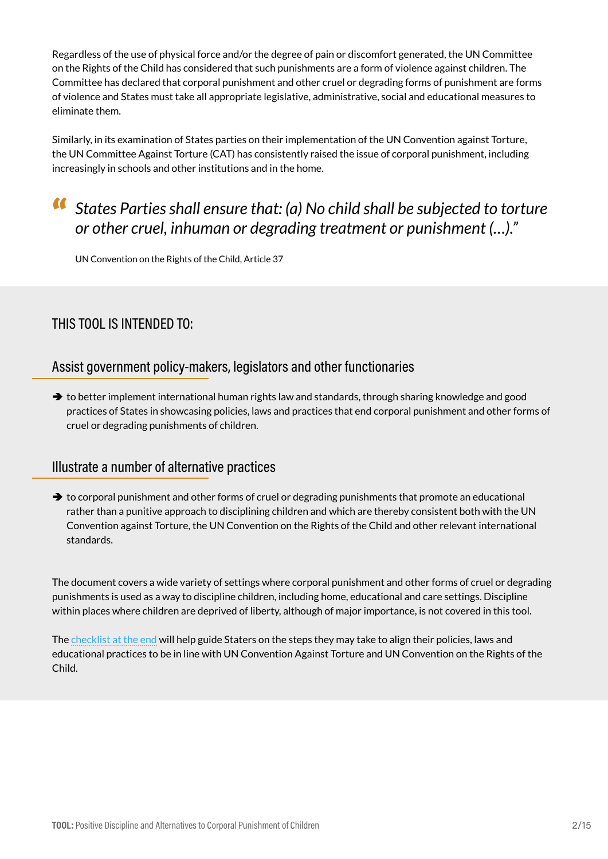Regardless of the use of physical force and/or the degree of pain or discomfort generated, the UN Committee on the Rights of the Child has considered that such punishments are a form of violence against children. The Committee has declared that corporal punishment and other cruel or degrading forms of punishment are forms of violence and States must take all appropriate legislative, administrative, social and educational measures to eliminate them.

Similarly, in its examination of States parties on their implementation of the UN Convention against Torture, the UN Committee Against Torture (CAT) has consistently raised the issue of corporal punishment, including increasingly in schools and other institutions and in the home.

## " *States Parties shall ensure that: (a) No child shall be subjected to torture or other cruel, inhuman or degrading treatment or punishment (…)."*

UN Convention on the Rights of the Child, Article 37

### THIS TOOL IS INTENDED TO:

### Assist government policy-makers, legislators and other functionaries

 $\rightarrow$  to better implement international human rights law and standards, through sharing knowledge and good practices of States in showcasing policies, laws and practices that end corporal punishment and other forms of cruel or degrading punishments of children.

### Illustrate a number of alternative practices

 $\rightarrow$  to corporal punishment and other forms of cruel or degrading punishments that promote an educational rather than a punitive approach to disciplining children and which are thereby consistent both with the UN Convention against Torture, the UN Convention on the Rights of the Child and other relevant international standards.

The document covers a wide variety of settings where corporal punishment and other forms of cruel or degrading punishments is used as a way to discipline children, including home, educational and care settings. Discipline within places where children are deprived of liberty, although of major importance, is not covered in this tool.

The [checklist at the end](#page-13-0) will help guide Staters on the steps they may take to align their policies, laws and educational practices to be in line with UN Convention Against Torture and UN Convention on the Rights of the Child.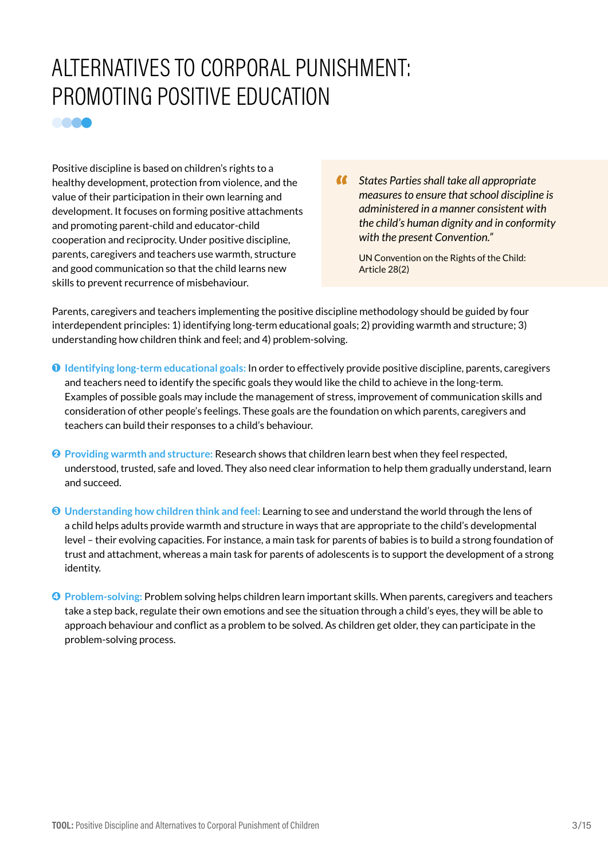# ALTERNATIVES TO CORPORAL PUNISHMENT: PROMOTING POSITIVE EDUCATION

Positive discipline is based on children's rights to a healthy development, protection from violence, and the value of their participation in their own learning and development. It focuses on forming positive attachments and promoting parent-child and educator-child cooperation and reciprocity. Under positive discipline, parents, caregivers and teachers use warmth, structure and good communication so that the child learns new skills to prevent recurrence of misbehaviour.

**COOO** 

" *States Parties shall take all appropriate measures to ensure that school discipline is administered in a manner consistent with the child's human dignity and in conformity with the present Convention."*

UN Convention on the Rights of the Child: Article 28(2)

Parents, caregivers and teachers implementing the positive discipline methodology should be guided by four interdependent principles: 1) identifying long-term educational goals; 2) providing warmth and structure; 3) understanding how children think and feel; and 4) problem-solving.

- 1 **Identifying long-term educational goals:** In order to effectively provide positive discipline, parents, caregivers and teachers need to identify the specific goals they would like the child to achieve in the long-term. Examples of possible goals may include the management of stress, improvement of communication skills and consideration of other people's feelings. These goals are the foundation on which parents, caregivers and teachers can build their responses to a child's behaviour.
- 2 **Providing warmth and structure:** Research shows that children learn best when they feel respected, understood, trusted, safe and loved. They also need clear information to help them gradually understand, learn and succeed.
- 3 **Understanding how children think and feel:** Learning to see and understand the world through the lens of a child helps adults provide warmth and structure in ways that are appropriate to the child's developmental level – their evolving capacities. For instance, a main task for parents of babies is to build a strong foundation of trust and attachment, whereas a main task for parents of adolescents is to support the development of a strong identity.
- 4 **Problem-solving:** Problem solving helps children learn important skills. When parents, caregivers and teachers take a step back, regulate their own emotions and see the situation through a child's eyes, they will be able to approach behaviour and conflict as a problem to be solved. As children get older, they can participate in the problem-solving process.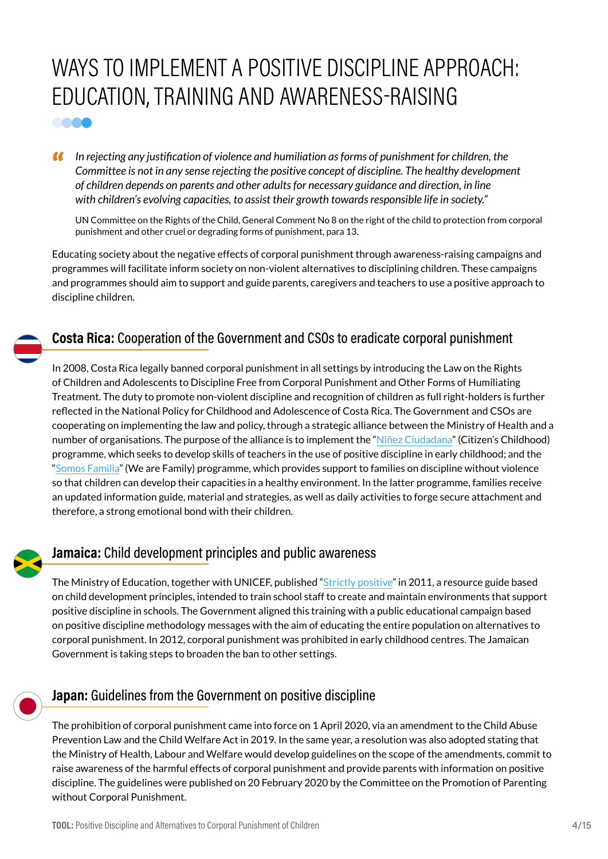# WAYS TO IMPLEMENT A POSITIVE DISCIPLINE APPROACH: EDUCATION, TRAINING AND AWARENESS-RAISING **COOO**

" *In rejecting any justification of violence and humiliation as forms of punishment for children, the Committee is not in any sense rejecting the positive concept of discipline. The healthy development of children depends on parents and other adults for necessary guidance and direction, in line with children's evolving capacities, to assist their growth towards responsible life in society."*

UN Committee on the Rights of the Child, General Comment No 8 on the right of the child to protection from corporal punishment and other cruel or degrading forms of punishment, para 13.

Educating society about the negative effects of corporal punishment through awareness-raising campaigns and programmes will facilitate inform society on non-violent alternatives to disciplining children. These campaigns and programmes should aim to support and guide parents, caregivers and teachers to use a positive approach to discipline children.

### **Costa Rica:** Cooperation of the Government and CSOs to eradicate corporal punishment

In 2008, Costa Rica legally banned corporal punishment in all settings by introducing the Law on the Rights of Children and Adolescents to Discipline Free from Corporal Punishment and Other Forms of Humiliating Treatment. The duty to promote non-violent discipline and recognition of children as full right-holders is further reflected in the National Policy for Childhood and Adolescence of Costa Rica. The Government and CSOs are cooperating on implementing the law and policy, through a strategic alliance between the Ministry of Health and a number of organisations. The purpose of the alliance is to implement the "[Niñez Ciudadana"](https://paniamor.org/Program/detail/1/ninez-ciudadana) (Citizen's Childhood) programme, which seeks to develop skills of teachers in the use of positive discipline in early childhood; and the "[Somos Familia"](https://paniamor.org/Project/detail/20/somos-familia---mep-) (We are Family) programme, which provides support to families on discipline without violence so that children can develop their capacities in a healthy environment. In the latter programme, families receive an updated information guide, material and strategies, as well as daily activities to forge secure attachment and therefore, a strong emotional bond with their children.



### **Jamaica:** Child development principles and public awareness

The Ministry of Education, together with UNICEF, published "[Strictly positive](https://www.unicef.org/jamaica/media/501/file/Strictly-Positive-Manual-2011.pdf)" in 2011, a resource guide based on child development principles, intended to train school staff to create and maintain environments that support positive discipline in schools. The Government aligned this training with a public educational campaign based on positive discipline methodology messages with the aim of educating the entire population on alternatives to corporal punishment. In 2012, corporal punishment was prohibited in early childhood centres. The Jamaican Government is taking steps to broaden the ban to other settings.



### **Japan:** Guidelines from the Government on positive discipline

The prohibition of corporal punishment came into force on 1 April 2020, via an amendment to the Child Abuse Prevention Law and the Child Welfare Act in 2019. In the same year, a resolution was also adopted stating that the Ministry of Health, Labour and Welfare would develop guidelines on the scope of the amendments, commit to raise awareness of the harmful effects of corporal punishment and provide parents with information on positive discipline. The guidelines were published on 20 February 2020 by the Committee on the Promotion of Parenting without Corporal Punishment.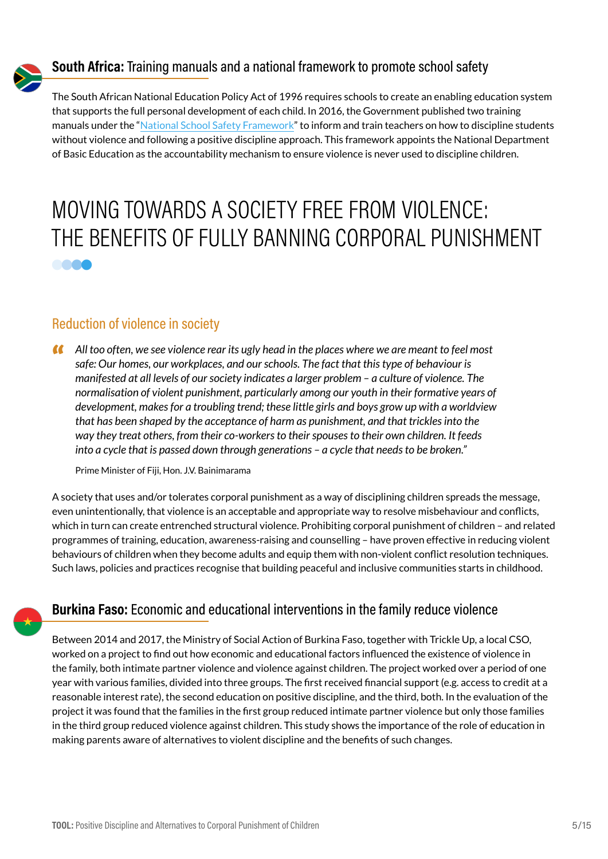

### **South Africa:** Training manuals and a national framework to promote school safety

The South African National Education Policy Act of 1996 requires schools to create an enabling education system that supports the full personal development of each child. In 2016, the Government published two training manuals under the ["National School Safety Framework](https://www.education.gov.za/Portals/0/Documents/Publications/School Safety Framework 2016.pdf?ver=2016-02-19-133421-363)" to inform and train teachers on how to discipline students without violence and following a positive discipline approach. This framework appoints the National Department of Basic Education as the accountability mechanism to ensure violence is never used to discipline children.

# MOVING TOWARDS A SOCIETY FREE FROM VIOLENCE: THE BENEFITS OF FULLY BANNING CORPORAL PUNISHMENT **COOO**

### Reduction of violence in society

" *All too often, we see violence rear its ugly head in the places where we are meant to feel most safe: Our homes, our workplaces, and our schools. The fact that this type of behaviour is manifested at all levels of our society indicates a larger problem – a culture of violence. The normalisation of violent punishment, particularly among our youth in their formative years of development, makes for a troubling trend; these little girls and boys grow up with a worldview that has been shaped by the acceptance of harm as punishment, and that trickles into the way they treat others, from their co-workers to their spouses to their own children. It feeds into a cycle that is passed down through generations – a cycle that needs to be broken."*

Prime Minister of Fiji, Hon. J.V. Bainimarama

A society that uses and/or tolerates corporal punishment as a way of disciplining children spreads the message, even unintentionally, that violence is an acceptable and appropriate way to resolve misbehaviour and conflicts, which in turn can create entrenched structural violence. Prohibiting corporal punishment of children – and related programmes of training, education, awareness-raising and counselling – have proven effective in reducing violent behaviours of children when they become adults and equip them with non-violent conflict resolution techniques. Such laws, policies and practices recognise that building peaceful and inclusive communities starts in childhood.

### **Burkina Faso:** Economic and educational interventions in the family reduce violence

Between 2014 and 2017, the Ministry of Social Action of Burkina Faso, together with Trickle Up, a local CSO, worked on a project to find out how economic and educational factors influenced the existence of violence in the family, both intimate partner violence and violence against children. The project worked over a period of one year with various families, divided into three groups. The first received financial support (e.g. access to credit at a reasonable interest rate), the second education on positive discipline, and the third, both. In the evaluation of the project it was found that the families in the first group reduced intimate partner violence but only those families in the third group reduced violence against children. This study shows the importance of the role of education in making parents aware of alternatives to violent discipline and the benefits of such changes.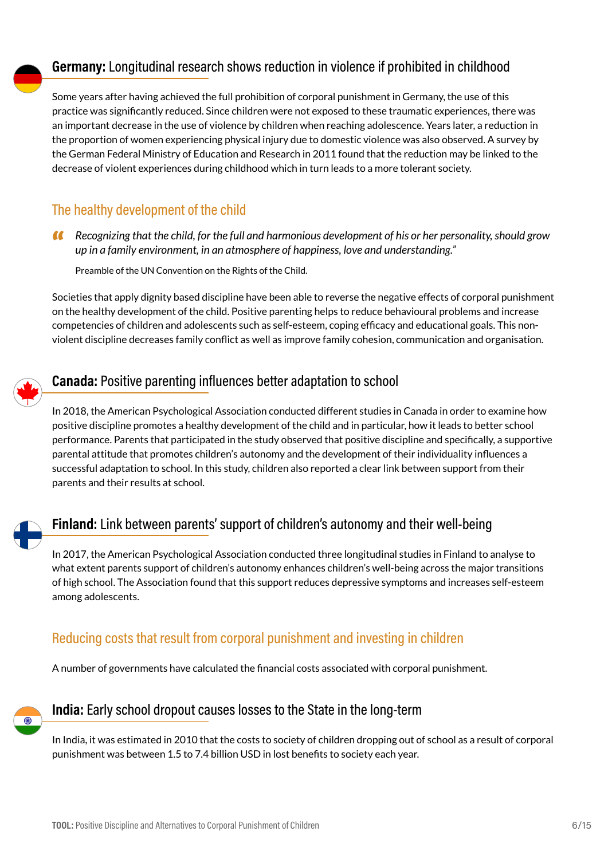### **Germany:** Longitudinal research shows reduction in violence if prohibited in childhood

Some years after having achieved the full prohibition of corporal punishment in Germany, the use of this practice was significantly reduced. Since children were not exposed to these traumatic experiences, there was an important decrease in the use of violence by children when reaching adolescence. Years later, a reduction in the proportion of women experiencing physical injury due to domestic violence was also observed. A survey by the German Federal Ministry of Education and Research in 2011 found that the reduction may be linked to the decrease of violent experiences during childhood which in turn leads to a more tolerant society.

### The healthy development of the child

" *Recognizing that the child, for the full and harmonious development of his or her personality, should grow up in a family environment, in an atmosphere of happiness, love and understanding."*

Preamble of the UN Convention on the Rights of the Child.

Societies that apply dignity based discipline have been able to reverse the negative effects of corporal punishment on the healthy development of the child. Positive parenting helps to reduce behavioural problems and increase competencies of children and adolescents such as self-esteem, coping efficacy and educational goals. This nonviolent discipline decreases family conflict as well as improve family cohesion, communication and organisation.



### **Canada:** Positive parenting influences better adaptation to school

In 2018, the American Psychological Association conducted different studies in Canada in order to examine how positive discipline promotes a healthy development of the child and in particular, how it leads to better school performance. Parents that participated in the study observed that positive discipline and specifically, a supportive parental attitude that promotes children's autonomy and the development of their individuality influences a successful adaptation to school. In this study, children also reported a clear link between support from their parents and their results at school.



### **Finland:** Link between parents' support of children's autonomy and their well-being

In 2017, the American Psychological Association conducted three longitudinal studies in Finland to analyse to what extent parents support of children's autonomy enhances children's well-being across the major transitions of high school. The Association found that this support reduces depressive symptoms and increases self-esteem among adolescents.

### Reducing costs that result from corporal punishment and investing in children

A number of governments have calculated the financial costs associated with corporal punishment.



### **India:** Early school dropout causes losses to the State in the long-term

In India, it was estimated in 2010 that the costs to society of children dropping out of school as a result of corporal punishment was between 1.5 to 7.4 billion USD in lost benefits to society each year.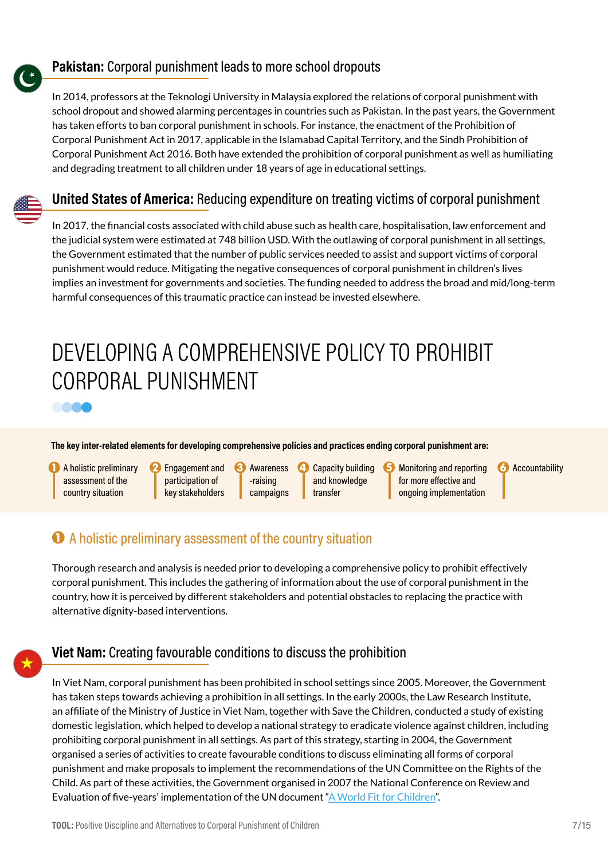

### **Pakistan:** Corporal punishment leads to more school dropouts

In 2014, professors at the Teknologi University in Malaysia explored the relations of corporal punishment with school dropout and showed alarming percentages in countries such as Pakistan. In the past years, the Government has taken efforts to ban corporal punishment in schools. For instance, the enactment of the Prohibition of Corporal Punishment Act in 2017, applicable in the Islamabad Capital Territory, and the Sindh Prohibition of Corporal Punishment Act 2016. Both have extended the prohibition of corporal punishment as well as humiliating and degrading treatment to all children under 18 years of age in educational settings.

### **United States of America:** Reducing expenditure on treating victims of corporal punishment

In 2017, the financial costs associated with child abuse such as health care, hospitalisation, law enforcement and the judicial system were estimated at 748 billion USD. With the outlawing of corporal punishment in all settings, the Government estimated that the number of public services needed to assist and support victims of corporal punishment would reduce. Mitigating the negative consequences of corporal punishment in children's lives implies an investment for governments and societies. The funding needed to address the broad and mid/long-term harmful consequences of this traumatic practice can instead be invested elsewhere.

# DEVELOPING A COMPREHENSIVE POLICY TO PROHIBIT CORPORAL PUNISHMENT



A holistic preliminary assessment of the country situation

8888

**2** Engagement and participation of key stakeholders

Awareness -raising campaigns Capacity building and knowledge transfer

**Monitoring and reporting** for more effective and ongoing implementation

**6** Accountability

### $\bullet$  A holistic preliminary assessment of the country situation

Thorough research and analysis is needed prior to developing a comprehensive policy to prohibit effectively corporal punishment. This includes the gathering of information about the use of corporal punishment in the country, how it is perceived by different stakeholders and potential obstacles to replacing the practice with alternative dignity-based interventions.

### **Viet Nam:** Creating favourable conditions to discuss the prohibition

In Viet Nam, corporal punishment has been prohibited in school settings since 2005. Moreover, the Government has taken steps towards achieving a prohibition in all settings. In the early 2000s, the Law Research Institute, an affiliate of the Ministry of Justice in Viet Nam, together with Save the Children, conducted a study of existing domestic legislation, which helped to develop a national strategy to eradicate violence against children, including prohibiting corporal punishment in all settings. As part of this strategy, starting in 2004, the Government organised a series of activities to create favourable conditions to discuss eliminating all forms of corporal punishment and make proposals to implement the recommendations of the UN Committee on the Rights of the Child. As part of these activities, the Government organised in 2007 the National Conference on Review and Evaluation of five-years' implementation of the UN document "[A World Fit for Children](https://www.unicef.org/progressforchildren/2007n6/files/Progress_for_Children_-_No._6.pdf)".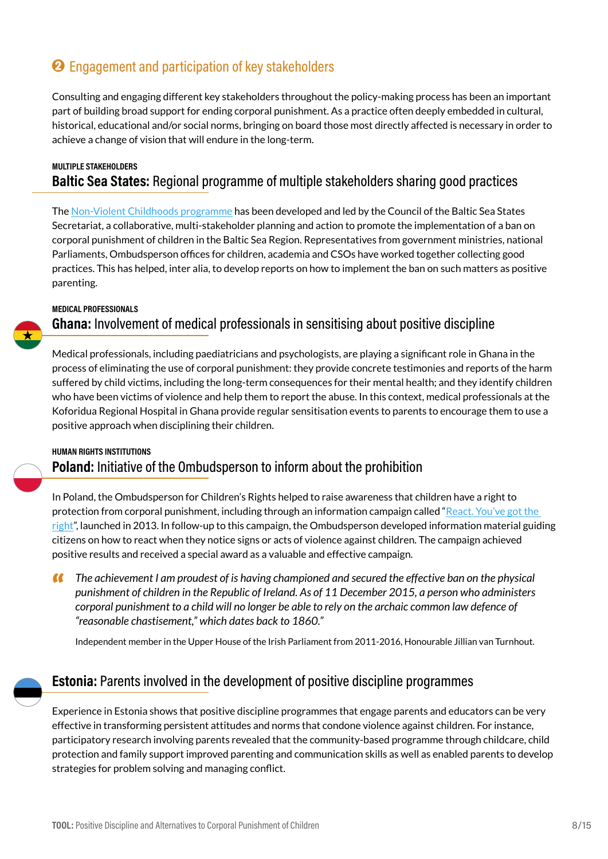## **2** Engagement and participation of key stakeholders

Consulting and engaging different key stakeholders throughout the policy-making process has been an important part of building broad support for ending corporal punishment. As a practice often deeply embedded in cultural, historical, educational and/or social norms, bringing on board those most directly affected is necessary in order to achieve a change of vision that will endure in the long-term.

#### **MULTIPLE STAKEHOLDERS Baltic Sea States:** Regional programme of multiple stakeholders sharing good practices

The [Non-Violent Childhoods programme](https://www.childrenatrisk.eu/nonviolence/#:~:text=Corporal%20punishment%20is%20a%20violation,equal%20protection%20under%20the%20law.) has been developed and led by the Council of the Baltic Sea States Secretariat, a collaborative, multi-stakeholder planning and action to promote the implementation of a ban on corporal punishment of children in the Baltic Sea Region. Representatives from government ministries, national Parliaments, Ombudsperson offices for children, academia and CSOs have worked together collecting good practices. This has helped, inter alia, to develop reports on how to implement the ban on such matters as positive parenting.

#### **MEDICAL PROFESSIONALS**

### **Ghana:** Involvement of medical professionals in sensitising about positive discipline

Medical professionals, including paediatricians and psychologists, are playing a significant role in Ghana in the process of eliminating the use of corporal punishment: they provide concrete testimonies and reports of the harm suffered by child victims, including the long-term consequences for their mental health; and they identify children who have been victims of violence and help them to report the abuse. In this context, medical professionals at the Koforidua Regional Hospital in Ghana provide regular sensitisation events to parents to encourage them to use a positive approach when disciplining their children.

#### **HUMAN RIGHTS INSTITUTIONS Poland:** Initiative of the Ombudsperson to inform about the prohibition

In Poland, the Ombudsperson for Children's Rights helped to raise awareness that children have a right to protection from corporal punishment, including through an information campaign called "React. You've got the  $right$ ", launched in 2013. In follow-up to this campaign, the Ombudsperson developed information material guiding citizens on how to react when they notice signs or acts of violence against children. The campaign achieved positive results and received a special award as a valuable and effective campaign.

" *The achievement I am proudest of is having championed and secured the effective ban on the physical punishment of children in the Republic of Ireland. As of 11 December 2015, a person who administers corporal punishment to a child will no longer be able to rely on the archaic common law defence of "reasonable chastisement," which dates back to 1860."*

Independent member in the Upper House of the Irish Parliament from 2011-2016, Honourable Jillian van Turnhout.



### **Estonia:** Parents involved in the development of positive discipline programmes

Experience in Estonia shows that positive discipline programmes that engage parents and educators can be very effective in transforming persistent attitudes and norms that condone violence against children. For instance, participatory research involving parents revealed that the community-based programme through childcare, child protection and family support improved parenting and communication skills as well as enabled parents to develop strategies for problem solving and managing conflict.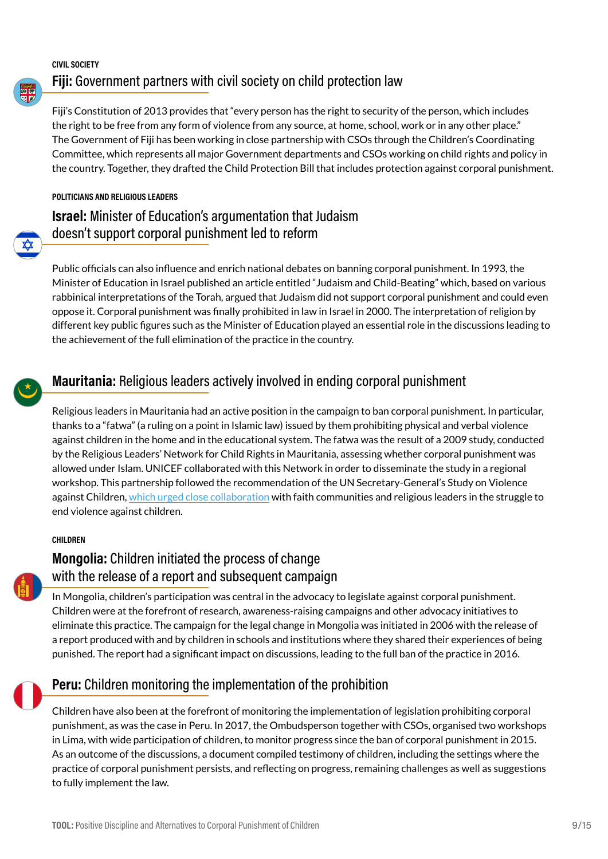#### **CIVIL SOCIETY Fiji:** Government partners with civil society on child protection law

Fiji's Constitution of 2013 provides that "every person has the right to security of the person, which includes the right to be free from any form of violence from any source, at home, school, work or in any other place." The Government of Fiji has been working in close partnership with CSOs through the Children's Coordinating Committee, which represents all major Government departments and CSOs working on child rights and policy in the country. Together, they drafted the Child Protection Bill that includes protection against corporal punishment.

#### **POLITICIANS AND RELIGIOUS LEADERS**

### **Israel:** Minister of Education's argumentation that Judaism doesn't support corporal punishment led to reform

Public officials can also influence and enrich national debates on banning corporal punishment. In 1993, the Minister of Education in Israel published an article entitled "Judaism and Child-Beating" which, based on various rabbinical interpretations of the Torah, argued that Judaism did not support corporal punishment and could even oppose it. Corporal punishment was finally prohibited in law in Israel in 2000. The interpretation of religion by different key public figures such as the Minister of Education played an essential role in the discussions leading to the achievement of the full elimination of the practice in the country.



### **Mauritania:** Religious leaders actively involved in ending corporal punishment

Religious leaders in Mauritania had an active position in the campaign to ban corporal punishment. In particular, thanks to a "fatwa" (a ruling on a point in Islamic law) issued by them prohibiting physical and verbal violence against children in the home and in the educational system. The fatwa was the result of a 2009 study, conducted by the Religious Leaders' Network for Child Rights in Mauritania, assessing whether corporal punishment was allowed under Islam. UNICEF collaborated with this Network in order to disseminate the study in a regional workshop. This partnership followed the recommendation of the UN Secretary-General's Study on Violence against Children, [which urged close collaboration](https://documents-dds-ny.un.org/doc/UNDOC/GEN/N06/491/05/PDF/N0649105.pdf?OpenElement) with faith communities and religious leaders in the struggle to end violence against children.

#### **CHILDREN**



### **Mongolia:** Children initiated the process of change with the release of a report and subsequent campaign

In Mongolia, children's participation was central in the advocacy to legislate against corporal punishment. Children were at the forefront of research, awareness-raising campaigns and other advocacy initiatives to eliminate this practice. The campaign for the legal change in Mongolia was initiated in 2006 with the release of a report produced with and by children in schools and institutions where they shared their experiences of being punished. The report had a significant impact on discussions, leading to the full ban of the practice in 2016.

### **Peru:** Children monitoring the implementation of the prohibition

Children have also been at the forefront of monitoring the implementation of legislation prohibiting corporal punishment, as was the case in Peru. In 2017, the Ombudsperson together with CSOs, organised two workshops in Lima, with wide participation of children, to monitor progress since the ban of corporal punishment in 2015. As an outcome of the discussions, a document compiled testimony of children, including the settings where the practice of corporal punishment persists, and reflecting on progress, remaining challenges as well as suggestions to fully implement the law.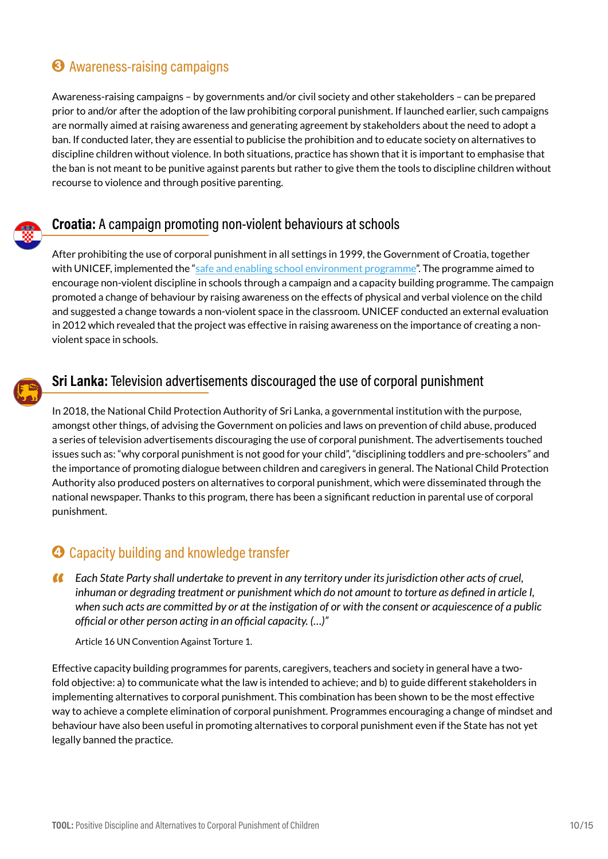### <sup>3</sup> Awareness-raising campaigns

Awareness-raising campaigns – by governments and/or civil society and other stakeholders – can be prepared prior to and/or after the adoption of the law prohibiting corporal punishment. If launched earlier, such campaigns are normally aimed at raising awareness and generating agreement by stakeholders about the need to adopt a ban. If conducted later, they are essential to publicise the prohibition and to educate society on alternatives to discipline children without violence. In both situations, practice has shown that it is important to emphasise that the ban is not meant to be punitive against parents but rather to give them the tools to discipline children without recourse to violence and through positive parenting.



### **Croatia:** A campaign promoting non-violent behaviours at schools

After prohibiting the use of corporal punishment in all settings in 1999, the Government of Croatia, together with UNICEF, implemented the "[safe and enabling school environment programme](https://www.unicef.org/croatia/en/reports/safe-and-enabling-environment-schools)". The programme aimed to encourage non-violent discipline in schools through a campaign and a capacity building programme. The campaign promoted a change of behaviour by raising awareness on the effects of physical and verbal violence on the child and suggested a change towards a non-violent space in the classroom. UNICEF conducted an external evaluation in 2012 which revealed that the project was effective in raising awareness on the importance of creating a nonviolent space in schools.



### **Sri Lanka:** Television advertisements discouraged the use of corporal punishment

In 2018, the National Child Protection Authority of Sri Lanka, a governmental institution with the purpose, amongst other things, of advising the Government on policies and laws on prevention of child abuse, produced a series of television advertisements discouraging the use of corporal punishment. The advertisements touched issues such as: "why corporal punishment is not good for your child", "disciplining toddlers and pre-schoolers" and the importance of promoting dialogue between children and caregivers in general. The National Child Protection Authority also produced posters on alternatives to corporal punishment, which were disseminated through the national newspaper. Thanks to this program, there has been a significant reduction in parental use of corporal punishment.

### **<sup>4</sup>** Capacity building and knowledge transfer

" *Each State Party shall undertake to prevent in any territory under its jurisdiction other acts of cruel, inhuman or degrading treatment or punishment which do not amount to torture as defined in article I, when such acts are committed by or at the instigation of or with the consent or acquiescence of a public official or other person acting in an official capacity. (…)"*

Article 16 UN Convention Against Torture 1.

Effective capacity building programmes for parents, caregivers, teachers and society in general have a twofold objective: a) to communicate what the law is intended to achieve; and b) to guide different stakeholders in implementing alternatives to corporal punishment. This combination has been shown to be the most effective way to achieve a complete elimination of corporal punishment. Programmes encouraging a change of mindset and behaviour have also been useful in promoting alternatives to corporal punishment even if the State has not yet legally banned the practice.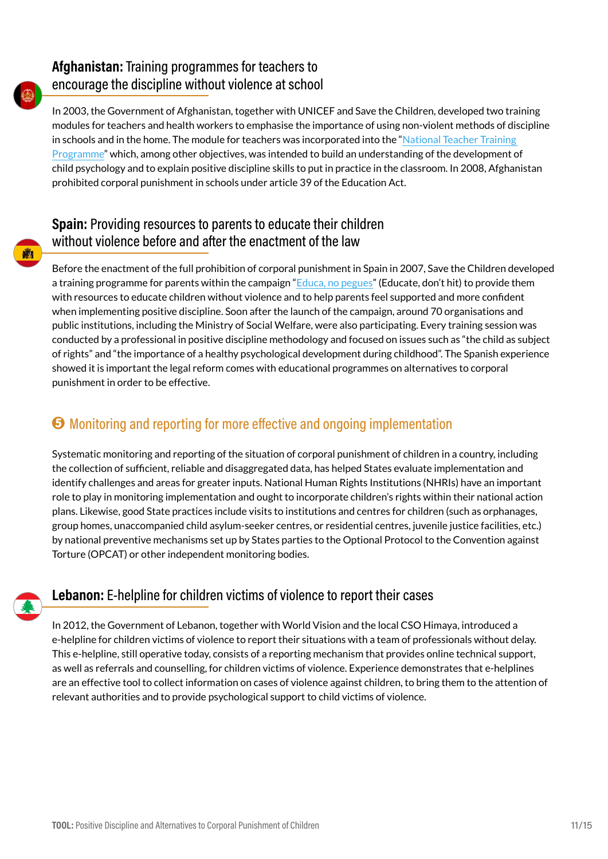### **Afghanistan:** Training programmes for teachers to encourage the discipline without violence at school

In 2003, the Government of Afghanistan, together with UNICEF and Save the Children, developed two training modules for teachers and health workers to emphasise the importance of using non-violent methods of discipline in schools and in the home. The module for teachers was incorporated into the "National Teacher Training [Programme"](https://www.unicef.org/media/media_7316.html#:~:text=First%20national%20teacher%20training%20programme%20in%20Afghanistan%20gets%20underway,-Share&text=KABUL%2C%2016%20February%202003%20%2D%20A,with%20the%20support%20of%20UNICEF.) which, among other objectives, was intended to build an understanding of the development of child psychology and to explain positive discipline skills to put in practice in the classroom. In 2008, Afghanistan prohibited corporal punishment in schools under article 39 of the Education Act.

### **Spain:** Providing resources to parents to educate their children without violence before and after the enactment of the law

Before the enactment of the full prohibition of corporal punishment in Spain in 2007, Save the Children developed a training programme for parents within the campaign ["Educa, no pegues](https://www.savethechildren.es/sites/default/files/imce/docs/educa_no_pegues_savethechildren.pdf)" (Educate, don't hit) to provide them with resources to educate children without violence and to help parents feel supported and more confident when implementing positive discipline. Soon after the launch of the campaign, around 70 organisations and public institutions, including the Ministry of Social Welfare, were also participating. Every training session was conducted by a professional in positive discipline methodology and focused on issues such as "the child as subject of rights" and "the importance of a healthy psychological development during childhood". The Spanish experience showed it is important the legal reform comes with educational programmes on alternatives to corporal punishment in order to be effective.

## 5 Monitoring and reporting for more effective and ongoing implementation

Systematic monitoring and reporting of the situation of corporal punishment of children in a country, including the collection of sufficient, reliable and disaggregated data, has helped States evaluate implementation and identify challenges and areas for greater inputs. National Human Rights Institutions (NHRIs) have an important role to play in monitoring implementation and ought to incorporate children's rights within their national action plans. Likewise, good State practices include visits to institutions and centres for children (such as orphanages, group homes, unaccompanied child asylum-seeker centres, or residential centres, juvenile justice facilities, etc.) by national preventive mechanisms set up by States parties to the Optional Protocol to the Convention against Torture (OPCAT) or other independent monitoring bodies.



### **Lebanon:** E-helpline for children victims of violence to report their cases

In 2012, the Government of Lebanon, together with World Vision and the local CSO Himaya, introduced a e-helpline for children victims of violence to report their situations with a team of professionals without delay. This e-helpline, still operative today, consists of a reporting mechanism that provides online technical support, as well as referrals and counselling, for children victims of violence. Experience demonstrates that e-helplines are an effective tool to collect information on cases of violence against children, to bring them to the attention of relevant authorities and to provide psychological support to child victims of violence.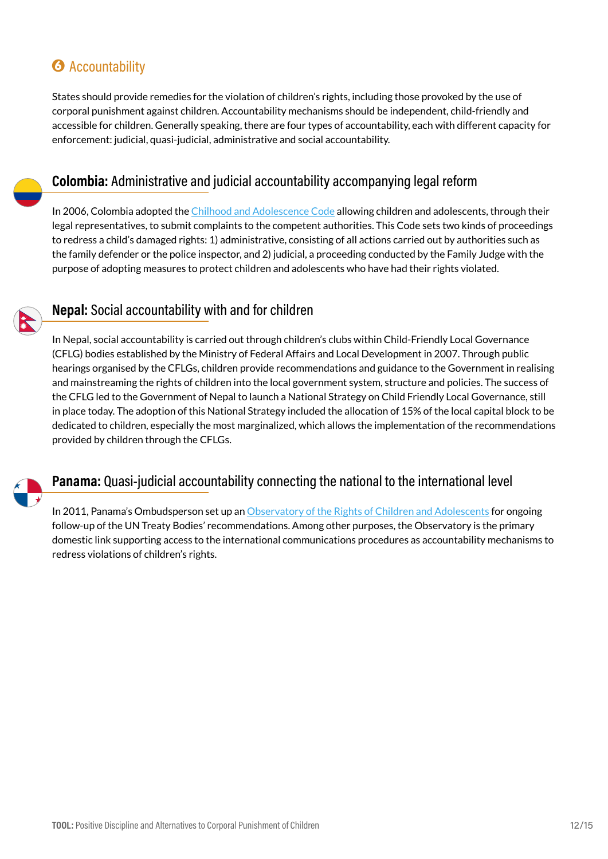## **6** Accountability

States should provide remedies for the violation of children's rights, including those provoked by the use of corporal punishment against children. Accountability mechanisms should be independent, child-friendly and accessible for children. Generally speaking, there are four types of accountability, each with different capacity for enforcement: judicial, quasi-judicial, administrative and social accountability.



### **Colombia:** Administrative and judicial accountability accompanying legal reform

In 2006, Colombia adopted the [Chilhood and Adolescence Code](https://www.procuraduria.gov.co/portal/media/file/Visi%C3%B3n Mundial_Codigo de Infancia 2011%281%29.pdf) allowing children and adolescents, through their legal representatives, to submit complaints to the competent authorities. This Code sets two kinds of proceedings to redress a child's damaged rights: 1) administrative, consisting of all actions carried out by authorities such as the family defender or the police inspector, and 2) judicial, a proceeding conducted by the Family Judge with the purpose of adopting measures to protect children and adolescents who have had their rights violated.



### **Nepal:** Social accountability with and for children

In Nepal, social accountability is carried out through children's clubs within Child-Friendly Local Governance (CFLG) bodies established by the Ministry of Federal Affairs and Local Development in 2007. Through public hearings organised by the CFLGs, children provide recommendations and guidance to the Government in realising and mainstreaming the rights of children into the local government system, structure and policies. The success of the CFLG led to the Government of Nepal to launch a National Strategy on Child Friendly Local Governance, still in place today. The adoption of this National Strategy included the allocation of 15% of the local capital block to be dedicated to children, especially the most marginalized, which allows the implementation of the recommendations provided by children through the CFLGs.



### **Panama:** Quasi-judicial accountability connecting the national to the international level

In 2011, Panama's Ombudsperson set up an [Observatory of the Rights of Children and Adolescents](http://www.odenapanama.com/) for ongoing follow-up of the UN Treaty Bodies' recommendations. Among other purposes, the Observatory is the primary domestic link supporting access to the international communications procedures as accountability mechanisms to redress violations of children's rights.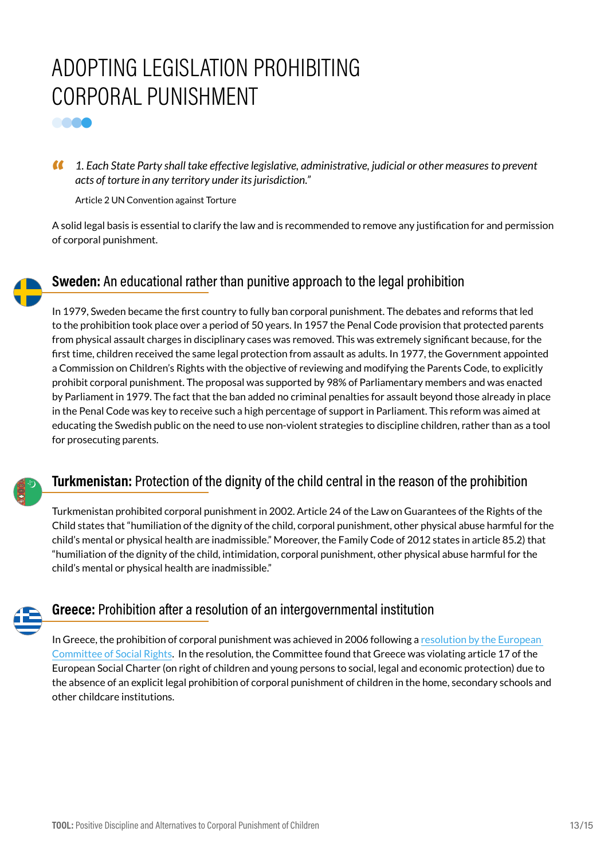# ADOPTING LEGISLATION PROHIBITING CORPORAL PUNISHMENT

**COOO** 

" *1. Each State Party shall take effective legislative, administrative, judicial or other measures to prevent acts of torture in any territory under its jurisdiction."*

Article 2 UN Convention against Torture

A solid legal basis is essential to clarify the law and is recommended to remove any justification for and permission of corporal punishment.

### **Sweden:** An educational rather than punitive approach to the legal prohibition

In 1979, Sweden became the first country to fully ban corporal punishment. The debates and reforms that led to the prohibition took place over a period of 50 years. In 1957 the Penal Code provision that protected parents from physical assault charges in disciplinary cases was removed. This was extremely significant because, for the first time, children received the same legal protection from assault as adults. In 1977, the Government appointed a Commission on Children's Rights with the objective of reviewing and modifying the Parents Code, to explicitly prohibit corporal punishment. The proposal was supported by 98% of Parliamentary members and was enacted by Parliament in 1979. The fact that the ban added no criminal penalties for assault beyond those already in place in the Penal Code was key to receive such a high percentage of support in Parliament. This reform was aimed at educating the Swedish public on the need to use non-violent strategies to discipline children, rather than as a tool for prosecuting parents.

### **Turkmenistan:** Protection of the dignity of the child central in the reason of the prohibition

Turkmenistan prohibited corporal punishment in 2002. Article 24 of the Law on Guarantees of the Rights of the Child states that "humiliation of the dignity of the child, corporal punishment, other physical abuse harmful for the child's mental or physical health are inadmissible." Moreover, the Family Code of 2012 states in article 85.2) that "humiliation of the dignity of the child, intimidation, corporal punishment, other physical abuse harmful for the child's mental or physical health are inadmissible."

### **Greece:** Prohibition after a resolution of an intergovernmental institution

In Greece, the prohibition of corporal punishment was achieved in 2006 following a [resolution by the European](https://www.coe.int/en/web/european-social-charter/processed-complaints/-/asset_publisher/5GEFkJmH2bYG/content/no-17-2003-world-organisation-against-torture-omct-v-greece?inheritRedirect=false)  [Committee of Social Rights.](https://www.coe.int/en/web/european-social-charter/processed-complaints/-/asset_publisher/5GEFkJmH2bYG/content/no-17-2003-world-organisation-against-torture-omct-v-greece?inheritRedirect=false) In the resolution, the Committee found that Greece was violating article 17 of the European Social Charter (on right of children and young persons to social, legal and economic protection) due to the absence of an explicit legal prohibition of corporal punishment of children in the home, secondary schools and other childcare institutions.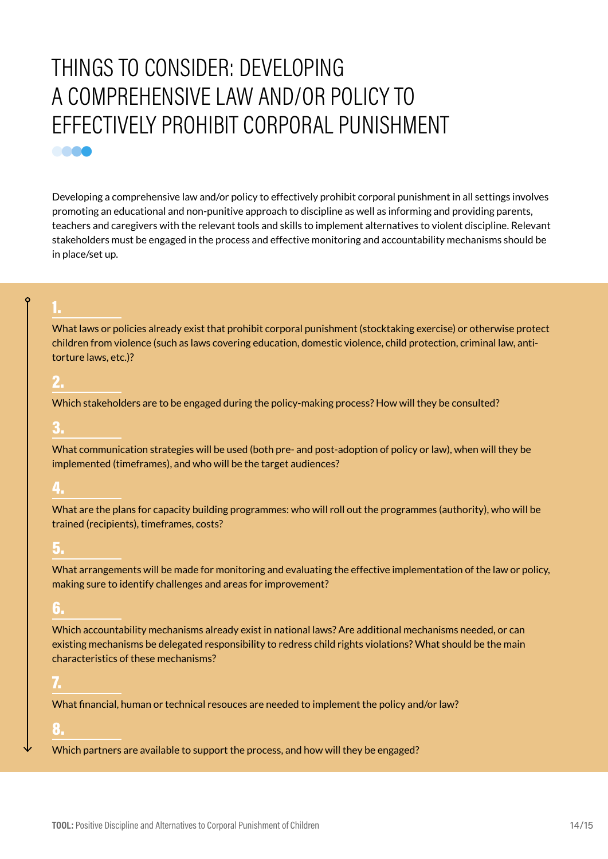# <span id="page-13-0"></span>THINGS TO CONSIDER: DEVELOPING A COMPREHENSIVE LAW AND/OR POLICY TO EFFECTIVELY PROHIBIT CORPORAL PUNISHMENT **COOO**

Developing a comprehensive law and/or policy to effectively prohibit corporal punishment in all settings involves promoting an educational and non-punitive approach to discipline as well as informing and providing parents, teachers and caregivers with the relevant tools and skills to implement alternatives to violent discipline. Relevant stakeholders must be engaged in the process and effective monitoring and accountability mechanisms should be in place/set up.

1.

What laws or policies already exist that prohibit corporal punishment (stocktaking exercise) or otherwise protect children from violence (such as laws covering education, domestic violence, child protection, criminal law, antitorture laws, etc.)?

### 2.

Which stakeholders are to be engaged during the policy-making process? How will they be consulted?

### 3.

What communication strategies will be used (both pre- and post-adoption of policy or law), when will they be implemented (timeframes), and who will be the target audiences?

### 4.

What are the plans for capacity building programmes: who will roll out the programmes (authority), who will be trained (recipients), timeframes, costs?

#### 5.

What arrangements will be made for monitoring and evaluating the effective implementation of the law or policy, making sure to identify challenges and areas for improvement?

#### 6.

Which accountability mechanisms already exist in national laws? Are additional mechanisms needed, or can existing mechanisms be delegated responsibility to redress child rights violations? What should be the main characteristics of these mechanisms?

### 7.

What financial, human or technical resouces are needed to implement the policy and/or law?

### 8.

Which partners are available to support the process, and how will they be engaged?